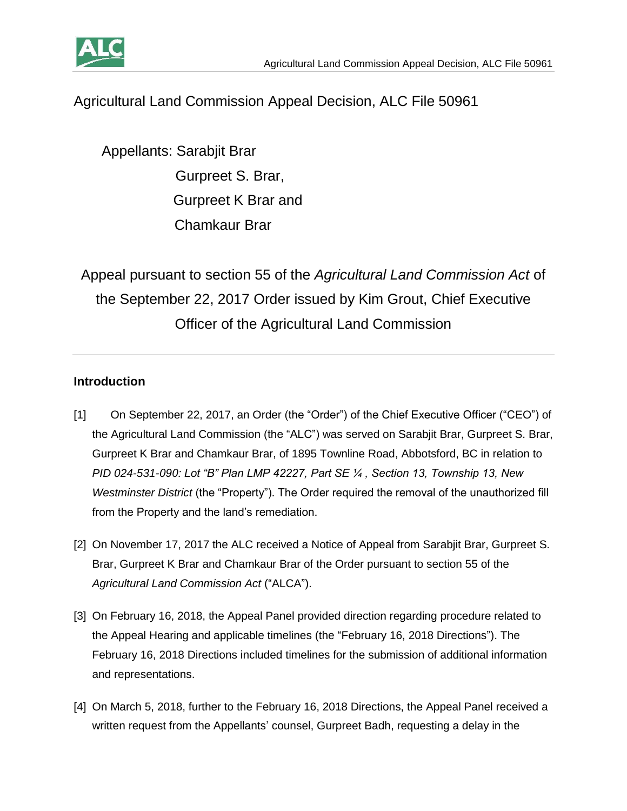

# Agricultural Land Commission Appeal Decision, ALC File 50961

 Appellants: Sarabjit Brar Gurpreet S. Brar, Gurpreet K Brar and Chamkaur Brar

Appeal pursuant to section 55 of the *Agricultural Land Commission Act* of the September 22, 2017 Order issued by Kim Grout, Chief Executive Officer of the Agricultural Land Commission

#### **Introduction**

- [1] On September 22, 2017, an Order (the "Order") of the Chief Executive Officer ("CEO") of the Agricultural Land Commission (the "ALC") was served on Sarabjit Brar, Gurpreet S. Brar, Gurpreet K Brar and Chamkaur Brar, of 1895 Townline Road, Abbotsford, BC in relation to *PID 024-531-090: Lot "B" Plan LMP 42227, Part SE ¼ , Section 13, Township 13, New Westminster District* (the "Property"). The Order required the removal of the unauthorized fill from the Property and the land's remediation.
- [2] On November 17, 2017 the ALC received a Notice of Appeal from Sarabjit Brar, Gurpreet S. Brar, Gurpreet K Brar and Chamkaur Brar of the Order pursuant to section 55 of the *Agricultural Land Commission Act* ("ALCA").
- [3] On February 16, 2018, the Appeal Panel provided direction regarding procedure related to the Appeal Hearing and applicable timelines (the "February 16, 2018 Directions"). The February 16, 2018 Directions included timelines for the submission of additional information and representations.
- [4] On March 5, 2018, further to the February 16, 2018 Directions, the Appeal Panel received a written request from the Appellants' counsel, Gurpreet Badh, requesting a delay in the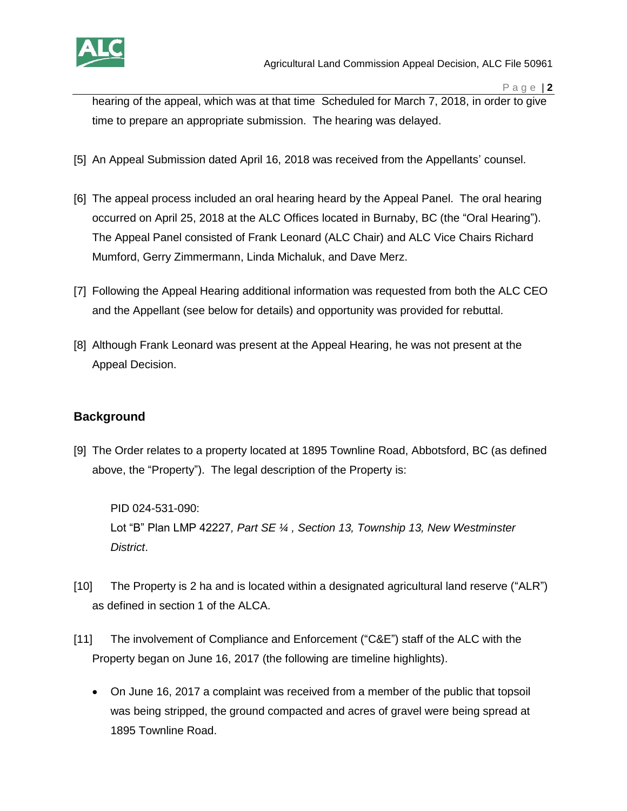

hearing of the appeal, which was at that time Scheduled for March 7, 2018, in order to give time to prepare an appropriate submission.The hearing was delayed.

- [5] An Appeal Submission dated April 16, 2018 was received from the Appellants' counsel.
- [6] The appeal process included an oral hearing heard by the Appeal Panel. The oral hearing occurred on April 25, 2018 at the ALC Offices located in Burnaby, BC (the "Oral Hearing"). The Appeal Panel consisted of Frank Leonard (ALC Chair) and ALC Vice Chairs Richard Mumford, Gerry Zimmermann, Linda Michaluk, and Dave Merz.
- [7] Following the Appeal Hearing additional information was requested from both the ALC CEO and the Appellant (see below for details) and opportunity was provided for rebuttal.
- [8] Although Frank Leonard was present at the Appeal Hearing, he was not present at the Appeal Decision.

### **Background**

[9] The Order relates to a property located at 1895 Townline Road, Abbotsford, BC (as defined above, the "Property"). The legal description of the Property is:

PID 024-531-090: Lot "B" Plan LMP 42227*, Part SE ¼ , Section 13, Township 13, New Westminster District*.

- [10] The Property is 2 ha and is located within a designated agricultural land reserve ("ALR") as defined in section 1 of the ALCA.
- [11] The involvement of Compliance and Enforcement ("C&E") staff of the ALC with the Property began on June 16, 2017 (the following are timeline highlights).
	- On June 16, 2017 a complaint was received from a member of the public that topsoil was being stripped, the ground compacted and acres of gravel were being spread at 1895 Townline Road.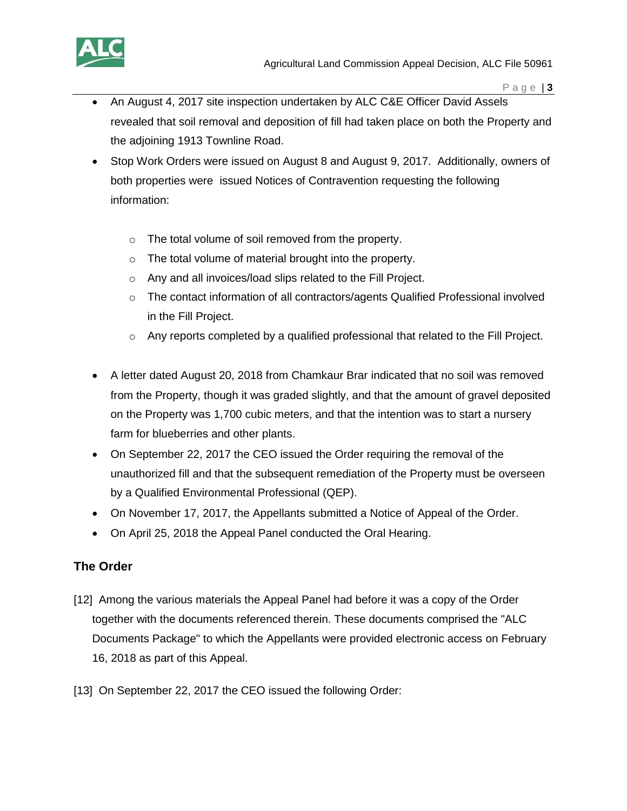

- An August 4, 2017 site inspection undertaken by ALC C&E Officer David Assels revealed that soil removal and deposition of fill had taken place on both the Property and the adjoining 1913 Townline Road.
- Stop Work Orders were issued on August 8 and August 9, 2017. Additionally, owners of both properties were issued Notices of Contravention requesting the following information:
	- o The total volume of soil removed from the property.
	- o The total volume of material brought into the property.
	- o Any and all invoices/load slips related to the Fill Project.
	- $\circ$  The contact information of all contractors/agents Qualified Professional involved in the Fill Project.
	- o Any reports completed by a qualified professional that related to the Fill Project.
- A letter dated August 20, 2018 from Chamkaur Brar indicated that no soil was removed from the Property, though it was graded slightly, and that the amount of gravel deposited on the Property was 1,700 cubic meters, and that the intention was to start a nursery farm for blueberries and other plants.
- On September 22, 2017 the CEO issued the Order requiring the removal of the unauthorized fill and that the subsequent remediation of the Property must be overseen by a Qualified Environmental Professional (QEP).
- On November 17, 2017, the Appellants submitted a Notice of Appeal of the Order.
- On April 25, 2018 the Appeal Panel conducted the Oral Hearing.

### **The Order**

- [12] Among the various materials the Appeal Panel had before it was a copy of the Order together with the documents referenced therein. These documents comprised the "ALC Documents Package" to which the Appellants were provided electronic access on February 16, 2018 as part of this Appeal.
- [13] On September 22, 2017 the CEO issued the following Order: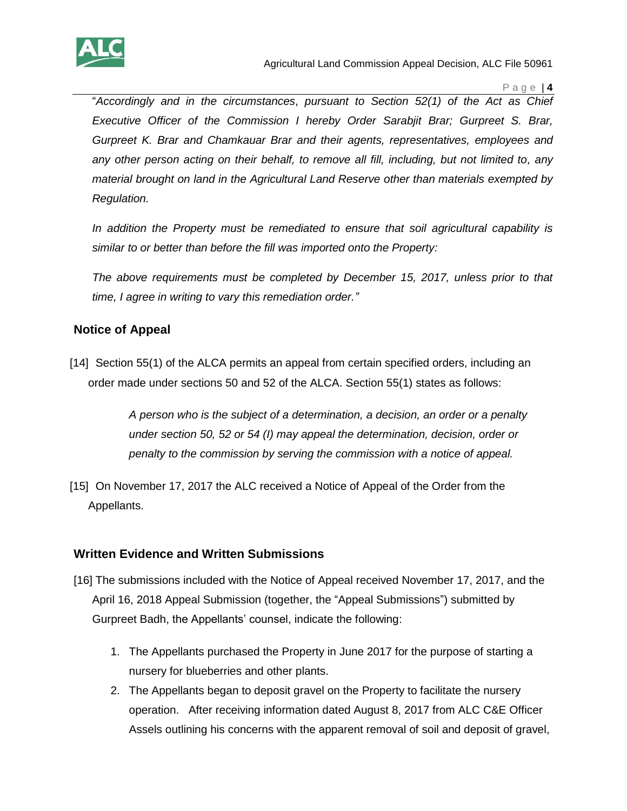

Agricultural Land Commission Appeal Decision, ALC File 50961

P a g e | **4**

"*Accordingly and in the circumstances*, *pursuant to Section 52(1) of the Act as Chief Executive Officer of the Commission I hereby Order Sarabjit Brar; Gurpreet S. Brar, Gurpreet K. Brar and Chamkauar Brar and their agents, representatives, employees and any other person acting on their behalf, to remove all fill, including, but not limited to, any material brought on land in the Agricultural Land Reserve other than materials exempted by Regulation.*

*In addition the Property must be remediated to ensure that soil agricultural capability is similar to or better than before the fill was imported onto the Property:*

*The above requirements must be completed by December 15, 2017, unless prior to that time, I agree in writing to vary this remediation order."* 

### **Notice of Appeal**

[14] Section 55(1) of the ALCA permits an appeal from certain specified orders, including an order made under sections 50 and 52 of the ALCA. Section 55(1) states as follows:

> *A person who is the subject of a determination, a decision, an order or a penalty under section 50, 52 or 54 (I) may appeal the determination, decision, order or penalty to the commission by serving the commission with a notice of appeal.*

[15] On November 17, 2017 the ALC received a Notice of Appeal of the Order from the Appellants.

### **Written Evidence and Written Submissions**

- [16] The submissions included with the Notice of Appeal received November 17, 2017, and the April 16, 2018 Appeal Submission (together, the "Appeal Submissions") submitted by Gurpreet Badh, the Appellants' counsel, indicate the following:
	- 1. The Appellants purchased the Property in June 2017 for the purpose of starting a nursery for blueberries and other plants.
	- 2. The Appellants began to deposit gravel on the Property to facilitate the nursery operation. After receiving information dated August 8, 2017 from ALC C&E Officer Assels outlining his concerns with the apparent removal of soil and deposit of gravel,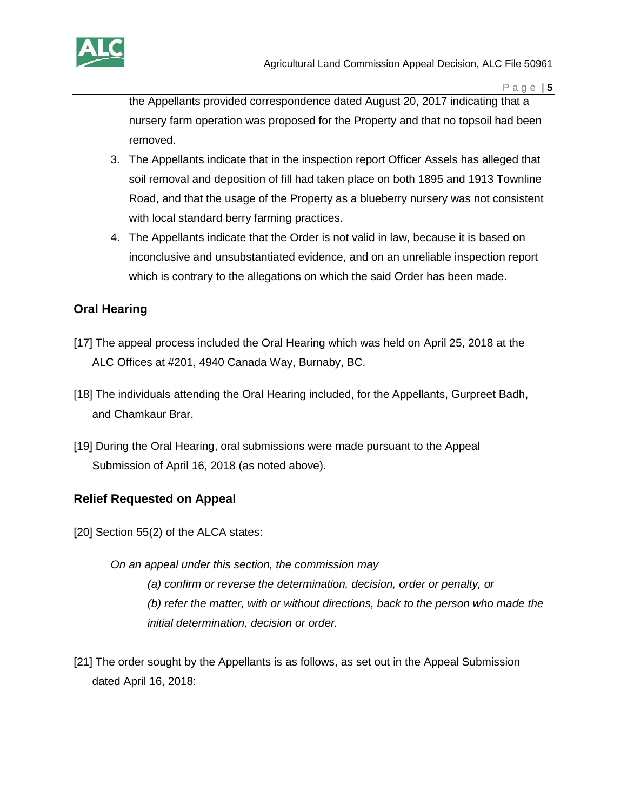

the Appellants provided correspondence dated August 20, 2017 indicating that a nursery farm operation was proposed for the Property and that no topsoil had been removed.

- 3. The Appellants indicate that in the inspection report Officer Assels has alleged that soil removal and deposition of fill had taken place on both 1895 and 1913 Townline Road, and that the usage of the Property as a blueberry nursery was not consistent with local standard berry farming practices.
- 4. The Appellants indicate that the Order is not valid in law, because it is based on inconclusive and unsubstantiated evidence, and on an unreliable inspection report which is contrary to the allegations on which the said Order has been made.

### **Oral Hearing**

- [17] The appeal process included the Oral Hearing which was held on April 25, 2018 at the ALC Offices at #201, 4940 Canada Way, Burnaby, BC.
- [18] The individuals attending the Oral Hearing included, for the Appellants, Gurpreet Badh, and Chamkaur Brar.
- [19] During the Oral Hearing, oral submissions were made pursuant to the Appeal Submission of April 16, 2018 (as noted above).

### **Relief Requested on Appeal**

- [20] Section 55(2) of the ALCA states:
	- *On an appeal under this section, the commission may (a) confirm or reverse the determination, decision, order or penalty, or (b) refer the matter, with or without directions, back to the person who made the initial determination, decision or order.*
- [21] The order sought by the Appellants is as follows, as set out in the Appeal Submission dated April 16, 2018: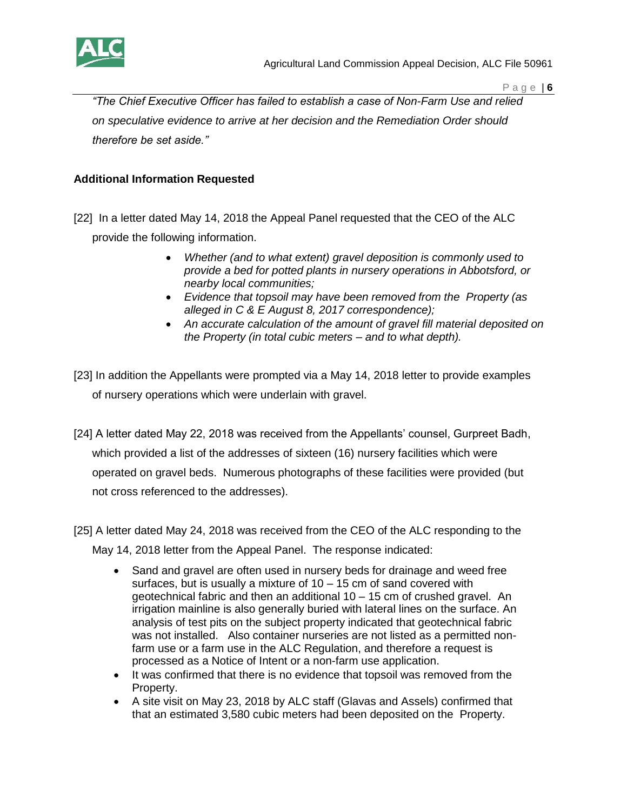

*"The Chief Executive Officer has failed to establish a case of Non-Farm Use and relied on speculative evidence to arrive at her decision and the Remediation Order should therefore be set aside."*

#### **Additional Information Requested**

- [22] In a letter dated May 14, 2018 the Appeal Panel requested that the CEO of the ALC provide the following information.
	- *Whether (and to what extent) gravel deposition is commonly used to provide a bed for potted plants in nursery operations in Abbotsford, or nearby local communities;*
	- *Evidence that topsoil may have been removed from the Property (as alleged in C & E August 8, 2017 correspondence);*
	- *An accurate calculation of the amount of gravel fill material deposited on the Property (in total cubic meters – and to what depth).*
- [23] In addition the Appellants were prompted via a May 14, 2018 letter to provide examples of nursery operations which were underlain with gravel.
- [24] A letter dated May 22, 2018 was received from the Appellants' counsel, Gurpreet Badh, which provided a list of the addresses of sixteen (16) nursery facilities which were operated on gravel beds. Numerous photographs of these facilities were provided (but not cross referenced to the addresses).
- [25] A letter dated May 24, 2018 was received from the CEO of the ALC responding to the May 14, 2018 letter from the Appeal Panel. The response indicated:
	- Sand and gravel are often used in nursery beds for drainage and weed free surfaces, but is usually a mixture of  $10 - 15$  cm of sand covered with geotechnical fabric and then an additional 10 – 15 cm of crushed gravel. An irrigation mainline is also generally buried with lateral lines on the surface. An analysis of test pits on the subject property indicated that geotechnical fabric was not installed. Also container nurseries are not listed as a permitted nonfarm use or a farm use in the ALC Regulation, and therefore a request is processed as a Notice of Intent or a non-farm use application.
	- It was confirmed that there is no evidence that topsoil was removed from the Property.
	- A site visit on May 23, 2018 by ALC staff (Glavas and Assels) confirmed that that an estimated 3,580 cubic meters had been deposited on the Property.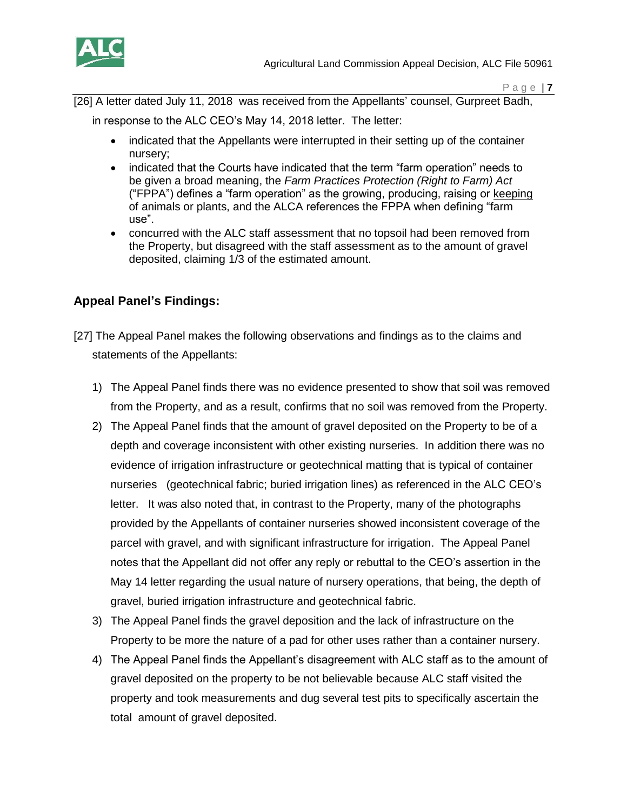

[26] A letter dated July 11, 2018 was received from the Appellants' counsel, Gurpreet Badh,

in response to the ALC CEO's May 14, 2018 letter. The letter:

- indicated that the Appellants were interrupted in their setting up of the container nursery;
- indicated that the Courts have indicated that the term "farm operation" needs to be given a broad meaning, the *Farm Practices Protection (Right to Farm) Act* ("FPPA") defines a "farm operation" as the growing, producing, raising or keeping of animals or plants, and the ALCA references the FPPA when defining "farm use".
- concurred with the ALC staff assessment that no topsoil had been removed from the Property, but disagreed with the staff assessment as to the amount of gravel deposited, claiming 1/3 of the estimated amount.

## **Appeal Panel's Findings:**

- [27] The Appeal Panel makes the following observations and findings as to the claims and statements of the Appellants:
	- 1) The Appeal Panel finds there was no evidence presented to show that soil was removed from the Property, and as a result, confirms that no soil was removed from the Property.
	- 2) The Appeal Panel finds that the amount of gravel deposited on the Property to be of a depth and coverage inconsistent with other existing nurseries. In addition there was no evidence of irrigation infrastructure or geotechnical matting that is typical of container nurseries (geotechnical fabric; buried irrigation lines) as referenced in the ALC CEO's letter. It was also noted that, in contrast to the Property, many of the photographs provided by the Appellants of container nurseries showed inconsistent coverage of the parcel with gravel, and with significant infrastructure for irrigation. The Appeal Panel notes that the Appellant did not offer any reply or rebuttal to the CEO's assertion in the May 14 letter regarding the usual nature of nursery operations, that being, the depth of gravel, buried irrigation infrastructure and geotechnical fabric.
	- 3) The Appeal Panel finds the gravel deposition and the lack of infrastructure on the Property to be more the nature of a pad for other uses rather than a container nursery.
	- 4) The Appeal Panel finds the Appellant's disagreement with ALC staff as to the amount of gravel deposited on the property to be not believable because ALC staff visited the property and took measurements and dug several test pits to specifically ascertain the total amount of gravel deposited.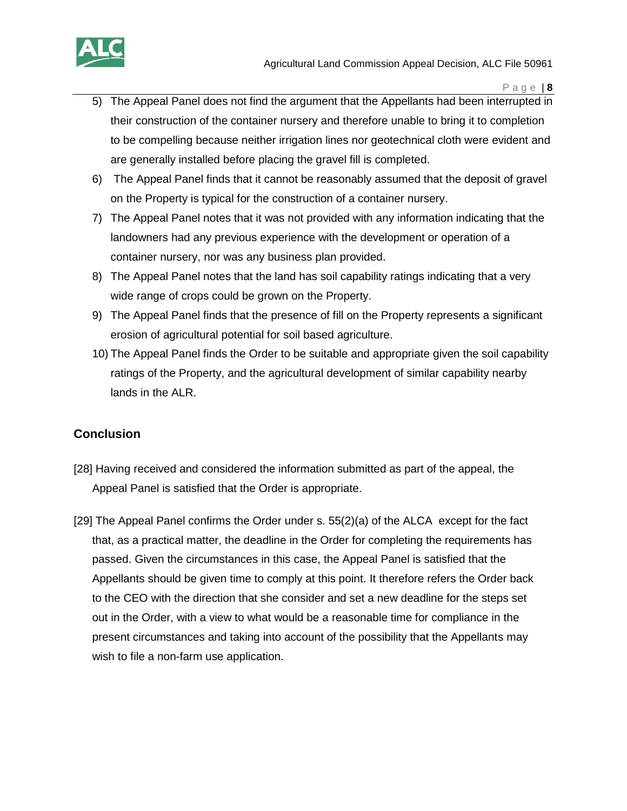

- 5) The Appeal Panel does not find the argument that the Appellants had been interrupted in their construction of the container nursery and therefore unable to bring it to completion to be compelling because neither irrigation lines nor geotechnical cloth were evident and are generally installed before placing the gravel fill is completed.
- 6) The Appeal Panel finds that it cannot be reasonably assumed that the deposit of gravel on the Property is typical for the construction of a container nursery.
- 7) The Appeal Panel notes that it was not provided with any information indicating that the landowners had any previous experience with the development or operation of a container nursery, nor was any business plan provided.
- 8) The Appeal Panel notes that the land has soil capability ratings indicating that a very wide range of crops could be grown on the Property.
- 9) The Appeal Panel finds that the presence of fill on the Property represents a significant erosion of agricultural potential for soil based agriculture.
- 10) The Appeal Panel finds the Order to be suitable and appropriate given the soil capability ratings of the Property, and the agricultural development of similar capability nearby lands in the ALR.

### **Conclusion**

- [28] Having received and considered the information submitted as part of the appeal, the Appeal Panel is satisfied that the Order is appropriate.
- [29] The Appeal Panel confirms the Order under s. 55(2)(a) of the ALCA except for the fact that, as a practical matter, the deadline in the Order for completing the requirements has passed. Given the circumstances in this case, the Appeal Panel is satisfied that the Appellants should be given time to comply at this point. It therefore refers the Order back to the CEO with the direction that she consider and set a new deadline for the steps set out in the Order, with a view to what would be a reasonable time for compliance in the present circumstances and taking into account of the possibility that the Appellants may wish to file a non-farm use application.